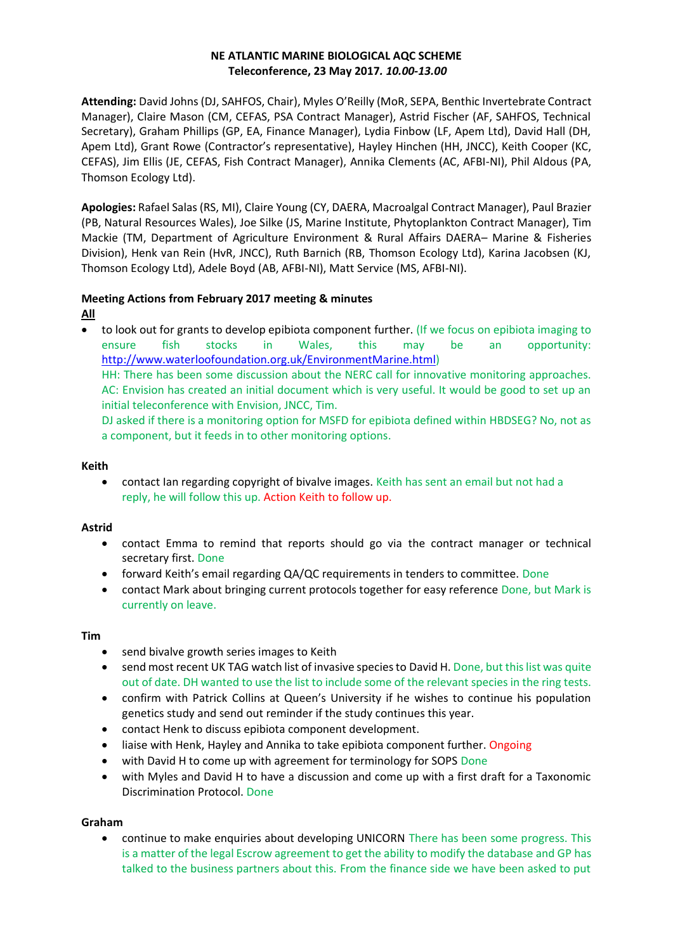## **NE ATLANTIC MARINE BIOLOGICAL AQC SCHEME Teleconference, 23 May 2017***. 10.00-13.00*

**Attending:** David Johns (DJ, SAHFOS, Chair), Myles O'Reilly (MoR, SEPA, Benthic Invertebrate Contract Manager), Claire Mason (CM, CEFAS, PSA Contract Manager), Astrid Fischer (AF, SAHFOS, Technical Secretary), Graham Phillips (GP, EA, Finance Manager), Lydia Finbow (LF, Apem Ltd), David Hall (DH, Apem Ltd), Grant Rowe (Contractor's representative), Hayley Hinchen (HH, JNCC), Keith Cooper (KC, CEFAS), Jim Ellis (JE, CEFAS, Fish Contract Manager), Annika Clements (AC, AFBI-NI), Phil Aldous (PA, Thomson Ecology Ltd).

**Apologies:** Rafael Salas (RS, MI), Claire Young (CY, DAERA, Macroalgal Contract Manager), Paul Brazier (PB, Natural Resources Wales), Joe Silke (JS, Marine Institute, Phytoplankton Contract Manager), Tim Mackie (TM, Department of Agriculture Environment & Rural Affairs DAERA– Marine & Fisheries Division), Henk van Rein (HvR, JNCC), Ruth Barnich (RB, Thomson Ecology Ltd), Karina Jacobsen (KJ, Thomson Ecology Ltd), Adele Boyd (AB, AFBI-NI), Matt Service (MS, AFBI-NI).

## **Meeting Actions from February 2017 meeting & minutes**

## **All**

• to look out for grants to develop epibiota component further. (If we focus on epibiota imaging to ensure fish stocks in Wales, this may be an opportunity: [http://www.waterloofoundation.org.uk/EnvironmentMarine.html\)](http://www.waterloofoundation.org.uk/EnvironmentMarine.html)

HH: There has been some discussion about the NERC call for innovative monitoring approaches. AC: Envision has created an initial document which is very useful. It would be good to set up an initial teleconference with Envision, JNCC, Tim.

DJ asked if there is a monitoring option for MSFD for epibiota defined within HBDSEG? No, not as a component, but it feeds in to other monitoring options.

#### **Keith**

• contact Ian regarding copyright of bivalve images. Keith has sent an email but not had a reply, he will follow this up. Action Keith to follow up.

## **Astrid**

- contact Emma to remind that reports should go via the contract manager or technical secretary first. Done
- forward Keith's email regarding QA/QC requirements in tenders to committee. Done
- contact Mark about bringing current protocols together for easy reference Done, but Mark is currently on leave.

#### **Tim**

- send bivalve growth series images to Keith
- send most recent UK TAG watch list of invasive species to David H. Done, but this list was quite out of date. DH wanted to use the list to include some of the relevant species in the ring tests.
- confirm with Patrick Collins at Queen's University if he wishes to continue his population genetics study and send out reminder if the study continues this year.
- contact Henk to discuss epibiota component development.
- liaise with Henk, Hayley and Annika to take epibiota component further. Ongoing
- with David H to come up with agreement for terminology for SOPS Done
- with Myles and David H to have a discussion and come up with a first draft for a Taxonomic Discrimination Protocol. Done

## **Graham**

• continue to make enquiries about developing UNICORN There has been some progress. This is a matter of the legal Escrow agreement to get the ability to modify the database and GP has talked to the business partners about this. From the finance side we have been asked to put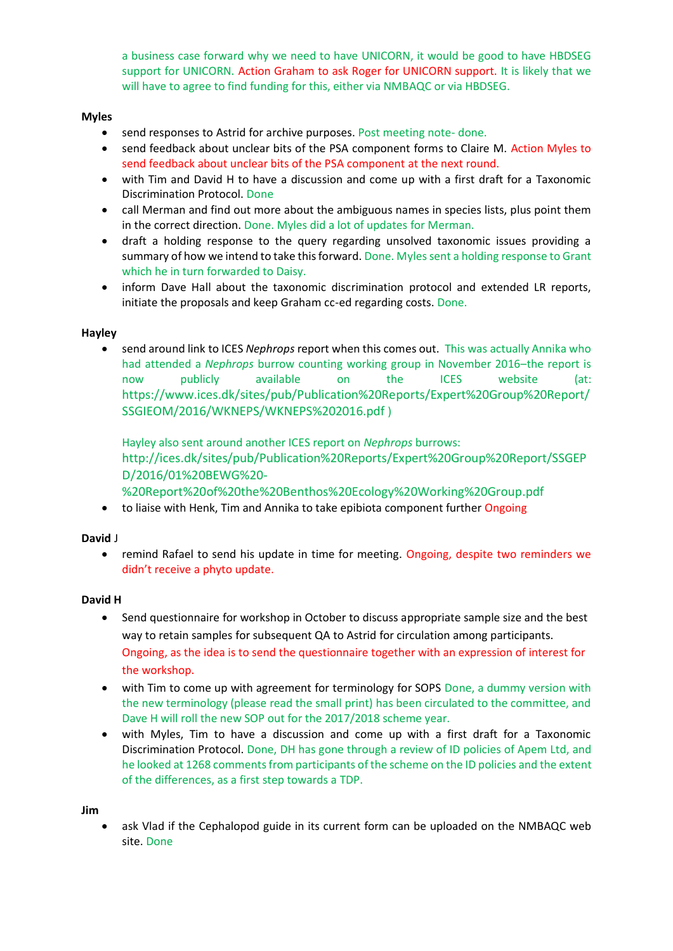a business case forward why we need to have UNICORN, it would be good to have HBDSEG support for UNICORN. Action Graham to ask Roger for UNICORN support. It is likely that we will have to agree to find funding for this, either via NMBAQC or via HBDSEG.

## **Myles**

- send responses to Astrid for archive purposes. Post meeting note- done.
- send feedback about unclear bits of the PSA component forms to Claire M. Action Myles to send feedback about unclear bits of the PSA component at the next round.
- with Tim and David H to have a discussion and come up with a first draft for a Taxonomic Discrimination Protocol. Done
- call Merman and find out more about the ambiguous names in species lists, plus point them in the correct direction. Done. Myles did a lot of updates for Merman.
- draft a holding response to the query regarding unsolved taxonomic issues providing a summary of how we intend to take this forward. Done. Myles sent a holding response to Grant which he in turn forwarded to Daisy.
- inform Dave Hall about the taxonomic discrimination protocol and extended LR reports, initiate the proposals and keep Graham cc-ed regarding costs. Done.

## **Hayley**

• send around link to ICES *Nephrops* report when this comes out. This was actually Annika who had attended a *Nephrops* burrow counting working group in November 2016–the report is now publicly available on the ICES website (at: [https://www.ices.dk/sites/pub/Publication%20Reports/Expert%20Group%20Report/](https://www.ices.dk/sites/pub/Publication%20Reports/Expert%20Group%20Report/SSGIEOM/2016/WKNEPS/WKNEPS%202016.pdf) [SSGIEOM/2016/WKNEPS/WKNEPS%202016.pdf](https://www.ices.dk/sites/pub/Publication%20Reports/Expert%20Group%20Report/SSGIEOM/2016/WKNEPS/WKNEPS%202016.pdf) )

Hayley also sent around another ICES report on *Nephrops* burrows: [http://ices.dk/sites/pub/Publication%20Reports/Expert%20Group%20Report/SSGEP](http://ices.dk/sites/pub/Publication%20Reports/Expert%20Group%20Report/SSGEPD/2016/01%20BEWG%20-%20Report%20of%20the%20Benthos%20Ecology%20Working%20Group.pdf) [D/2016/01%20BEWG%20-](http://ices.dk/sites/pub/Publication%20Reports/Expert%20Group%20Report/SSGEPD/2016/01%20BEWG%20-%20Report%20of%20the%20Benthos%20Ecology%20Working%20Group.pdf)

[%20Report%20of%20the%20Benthos%20Ecology%20Working%20Group.pdf](http://ices.dk/sites/pub/Publication%20Reports/Expert%20Group%20Report/SSGEPD/2016/01%20BEWG%20-%20Report%20of%20the%20Benthos%20Ecology%20Working%20Group.pdf)

• to liaise with Henk, Tim and Annika to take epibiota component further Ongoing

## **David** J

• remind Rafael to send his update in time for meeting. Ongoing, despite two reminders we didn't receive a phyto update.

## **David H**

- Send questionnaire for workshop in October to discuss appropriate sample size and the best way to retain samples for subsequent QA to Astrid for circulation among participants. Ongoing, as the idea is to send the questionnaire together with an expression of interest for the workshop.
- with Tim to come up with agreement for terminology for SOPS Done, a dummy version with the new terminology (please read the small print) has been circulated to the committee, and Dave H will roll the new SOP out for the 2017/2018 scheme year.
- with Myles, Tim to have a discussion and come up with a first draft for a Taxonomic Discrimination Protocol. Done, DH has gone through a review of ID policies of Apem Ltd, and he looked at 1268 comments from participants of the scheme on the ID policies and the extent of the differences, as a first step towards a TDP.

## **Jim**

ask Vlad if the Cephalopod guide in its current form can be uploaded on the NMBAQC web site. Done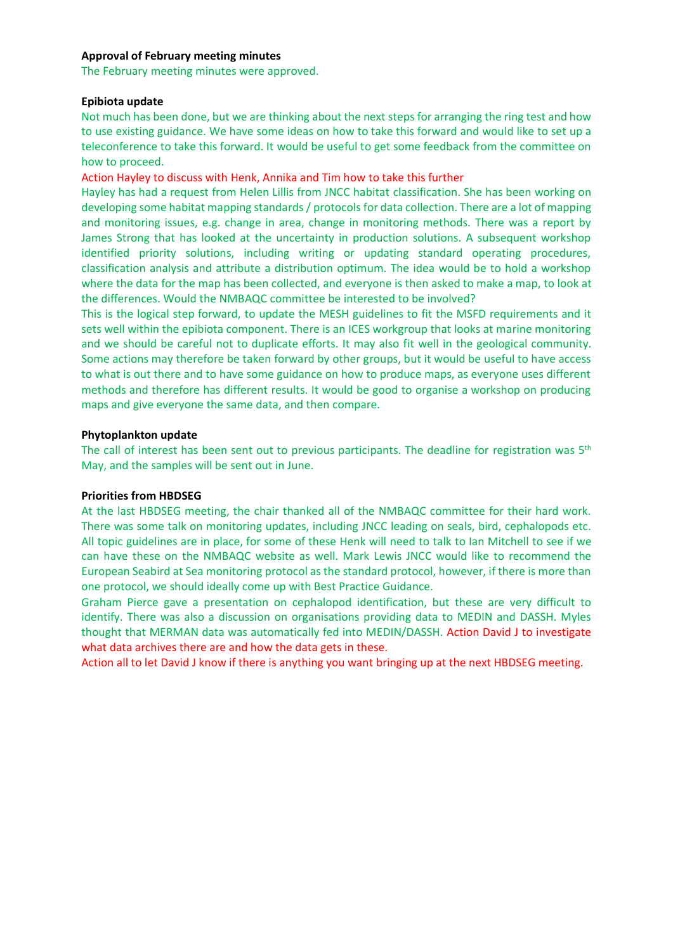#### **Approval of February meeting minutes**

The February meeting minutes were approved.

#### **Epibiota update**

Not much has been done, but we are thinking about the next steps for arranging the ring test and how to use existing guidance. We have some ideas on how to take this forward and would like to set up a teleconference to take this forward. It would be useful to get some feedback from the committee on how to proceed.

Action Hayley to discuss with Henk, Annika and Tim how to take this further

Hayley has had a request from Helen Lillis from JNCC habitat classification. She has been working on developing some habitat mapping standards / protocols for data collection. There are a lot of mapping and monitoring issues, e.g. change in area, change in monitoring methods. There was a report by James Strong that has looked at the uncertainty in production solutions. A subsequent workshop identified priority solutions, including writing or updating standard operating procedures, classification analysis and attribute a distribution optimum. The idea would be to hold a workshop where the data for the map has been collected, and everyone is then asked to make a map, to look at the differences. Would the NMBAQC committee be interested to be involved?

This is the logical step forward, to update the MESH guidelines to fit the MSFD requirements and it sets well within the epibiota component. There is an ICES workgroup that looks at marine monitoring and we should be careful not to duplicate efforts. It may also fit well in the geological community. Some actions may therefore be taken forward by other groups, but it would be useful to have access to what is out there and to have some guidance on how to produce maps, as everyone uses different methods and therefore has different results. It would be good to organise a workshop on producing maps and give everyone the same data, and then compare.

#### **Phytoplankton update**

The call of interest has been sent out to previous participants. The deadline for registration was  $5<sup>th</sup>$ May, and the samples will be sent out in June.

## **Priorities from HBDSEG**

At the last HBDSEG meeting, the chair thanked all of the NMBAQC committee for their hard work. There was some talk on monitoring updates, including JNCC leading on seals, bird, cephalopods etc. All topic guidelines are in place, for some of these Henk will need to talk to Ian Mitchell to see if we can have these on the NMBAQC website as well. Mark Lewis JNCC would like to recommend the European Seabird at Sea monitoring protocol as the standard protocol, however, if there is more than one protocol, we should ideally come up with Best Practice Guidance.

Graham Pierce gave a presentation on cephalopod identification, but these are very difficult to identify. There was also a discussion on organisations providing data to MEDIN and DASSH. Myles thought that MERMAN data was automatically fed into MEDIN/DASSH. Action David J to investigate what data archives there are and how the data gets in these.

Action all to let David J know if there is anything you want bringing up at the next HBDSEG meeting.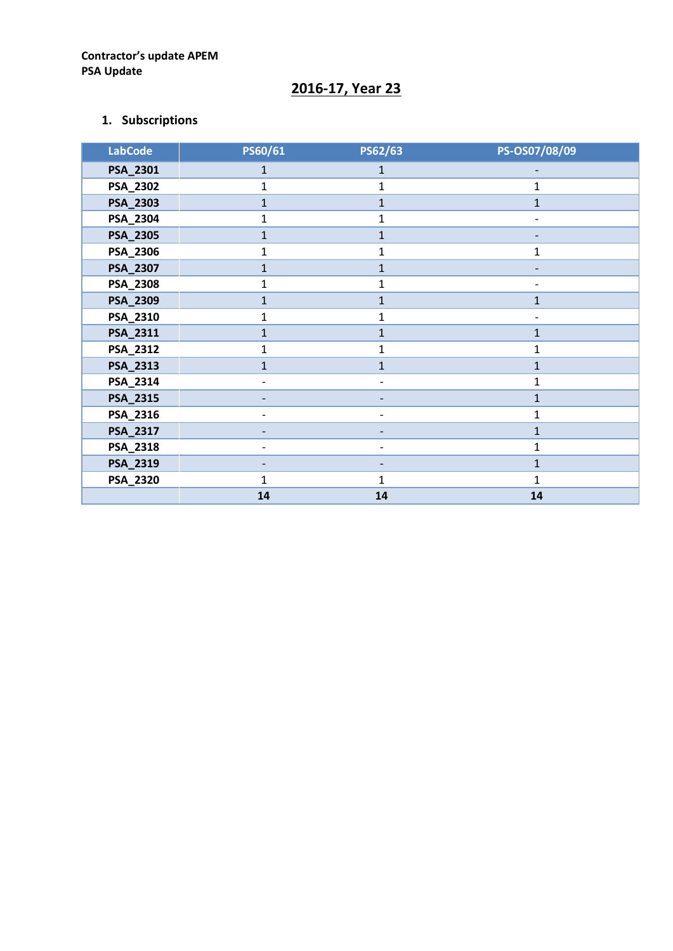# **2016-17, Year 23**

## **1. Subscriptions**

| <b>LabCode</b> | PS60/61        | PS62/63        | PS-OS07/08/09 |
|----------------|----------------|----------------|---------------|
| PSA_2301       | $\mathbf{1}$   | $\mathbf{1}$   |               |
| PSA_2302       | 1              | $\mathbf 1$    | $\mathbf{1}$  |
| PSA_2303       | $\mathbf{1}$   | $\mathbf{1}$   | $\mathbf{1}$  |
| PSA_2304       | 1              | $\mathbf 1$    |               |
| PSA_2305       | $\mathbf{1}$   | $\mathbf{1}$   |               |
| PSA_2306       | 1              | $\mathbf{1}$   | 1             |
| PSA_2307       | $\mathbf{1}$   | $\mathbf{1}$   |               |
| PSA_2308       | 1              | $\mathbf 1$    |               |
| PSA_2309       | $\mathbf{1}$   | $\mathbf{1}$   | $\mathbf{1}$  |
| PSA_2310       | $\mathbf 1$    | $\mathbf 1$    |               |
| PSA_2311       | $\mathbf{1}$   | $\mathbf{1}$   | 1             |
| PSA_2312       | $\mathbf{1}$   | 1              | 1             |
| PSA_2313       | $\overline{1}$ | $\overline{1}$ | $\mathbf{1}$  |
| PSA_2314       |                |                | $\mathbf{1}$  |
| PSA_2315       |                |                | $\mathbf{1}$  |
| PSA_2316       |                |                | 1             |
| PSA_2317       |                |                | $\mathbf{1}$  |
| PSA_2318       |                |                | 1             |
| PSA_2319       |                |                | $\mathbf{1}$  |
| PSA_2320       | $\mathbf{1}$   | $\mathbf{1}$   | $\mathbf{1}$  |
|                | 14             | ${\bf 14}$     | 14            |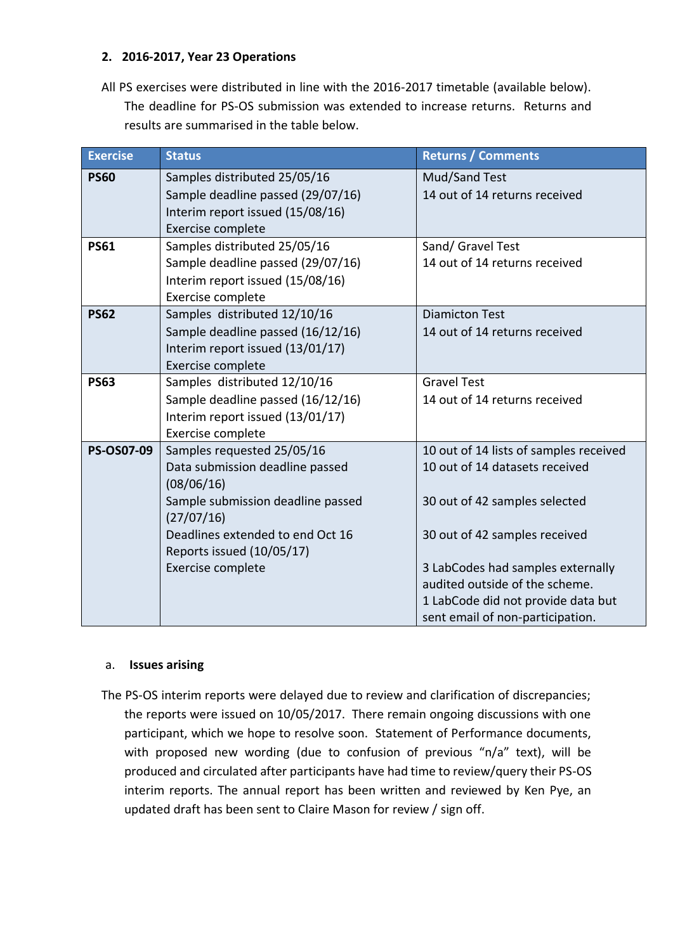## **2. 2016-2017, Year 23 Operations**

All PS exercises were distributed in line with the 2016-2017 timetable (available below). The deadline for PS-OS submission was extended to increase returns. Returns and results are summarised in the table below.

| <b>Exercise</b> | <b>Status</b>                                                     | <b>Returns / Comments</b>                      |
|-----------------|-------------------------------------------------------------------|------------------------------------------------|
| <b>PS60</b>     | Samples distributed 25/05/16<br>Sample deadline passed (29/07/16) | Mud/Sand Test<br>14 out of 14 returns received |
|                 | Interim report issued (15/08/16)                                  |                                                |
|                 | Exercise complete                                                 |                                                |
| <b>PS61</b>     | Samples distributed 25/05/16                                      | Sand/ Gravel Test                              |
|                 | Sample deadline passed (29/07/16)                                 | 14 out of 14 returns received                  |
|                 | Interim report issued (15/08/16)                                  |                                                |
|                 | Exercise complete                                                 |                                                |
| <b>PS62</b>     | Samples distributed 12/10/16                                      | <b>Diamicton Test</b>                          |
|                 | Sample deadline passed (16/12/16)                                 | 14 out of 14 returns received                  |
|                 | Interim report issued (13/01/17)                                  |                                                |
|                 | Exercise complete                                                 |                                                |
| <b>PS63</b>     | Samples distributed 12/10/16                                      | <b>Gravel Test</b>                             |
|                 | Sample deadline passed (16/12/16)                                 | 14 out of 14 returns received                  |
|                 | Interim report issued (13/01/17)                                  |                                                |
|                 | Exercise complete                                                 |                                                |
| PS-OS07-09      | Samples requested 25/05/16                                        | 10 out of 14 lists of samples received         |
|                 | Data submission deadline passed<br>(08/06/16)                     | 10 out of 14 datasets received                 |
|                 | Sample submission deadline passed<br>(27/07/16)                   | 30 out of 42 samples selected                  |
|                 | Deadlines extended to end Oct 16<br>Reports issued (10/05/17)     | 30 out of 42 samples received                  |
|                 | Exercise complete                                                 | 3 LabCodes had samples externally              |
|                 |                                                                   | audited outside of the scheme.                 |
|                 |                                                                   | 1 LabCode did not provide data but             |
|                 |                                                                   | sent email of non-participation.               |

## a. **Issues arising**

The PS-OS interim reports were delayed due to review and clarification of discrepancies; the reports were issued on 10/05/2017. There remain ongoing discussions with one participant, which we hope to resolve soon. Statement of Performance documents, with proposed new wording (due to confusion of previous "n/a" text), will be produced and circulated after participants have had time to review/query their PS-OS interim reports. The annual report has been written and reviewed by Ken Pye, an updated draft has been sent to Claire Mason for review / sign off.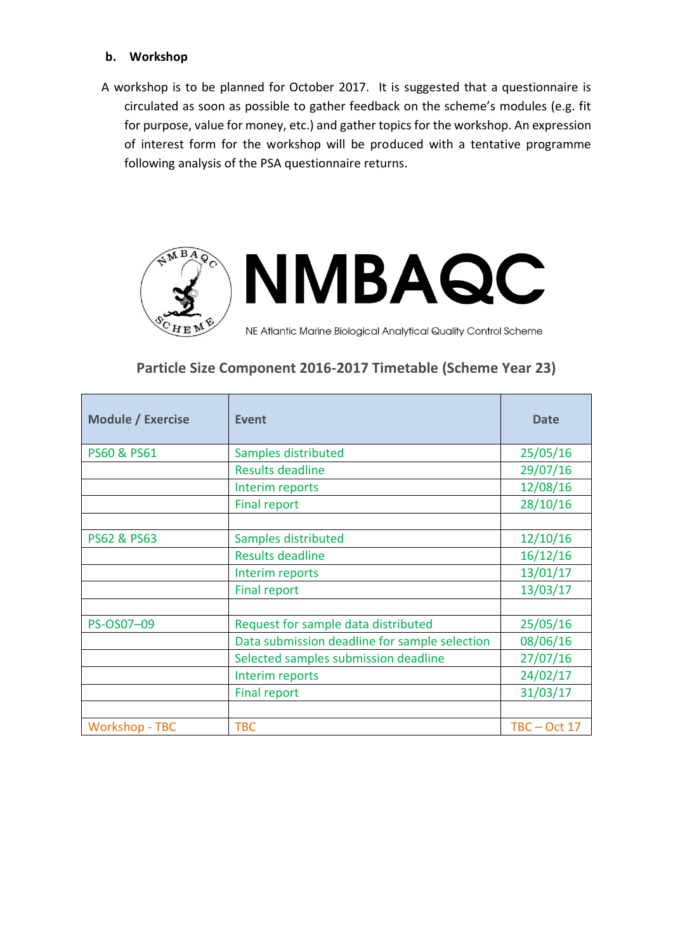## **b. Workshop**

A workshop is to be planned for October 2017. It is suggested that a questionnaire is circulated as soon as possible to gather feedback on the scheme's modules (e.g. fit for purpose, value for money, etc.) and gather topics for the workshop. An expression of interest form for the workshop will be produced with a tentative programme following analysis of the PSA questionnaire returns.



# **Particle Size Component 2016-2017 Timetable (Scheme Year 23)**

| <b>Module / Exercise</b> | <b>Event</b>                                  | <b>Date</b>    |
|--------------------------|-----------------------------------------------|----------------|
| <b>PS60 &amp; PS61</b>   | Samples distributed                           | 25/05/16       |
|                          | <b>Results deadline</b>                       | 29/07/16       |
|                          | Interim reports                               | 12/08/16       |
|                          | <b>Final report</b>                           | 28/10/16       |
|                          |                                               |                |
| <b>PS62 &amp; PS63</b>   | Samples distributed                           | 12/10/16       |
|                          | <b>Results deadline</b>                       | 16/12/16       |
|                          | Interim reports                               | 13/01/17       |
|                          | <b>Final report</b>                           | 13/03/17       |
|                          |                                               |                |
| PS-OS07-09               | Request for sample data distributed           | 25/05/16       |
|                          | Data submission deadline for sample selection | 08/06/16       |
|                          | Selected samples submission deadline          | 27/07/16       |
|                          | Interim reports                               | 24/02/17       |
|                          | <b>Final report</b>                           | 31/03/17       |
|                          |                                               |                |
| <b>Workshop - TBC</b>    | <b>TBC</b>                                    | $TBC - Oct$ 17 |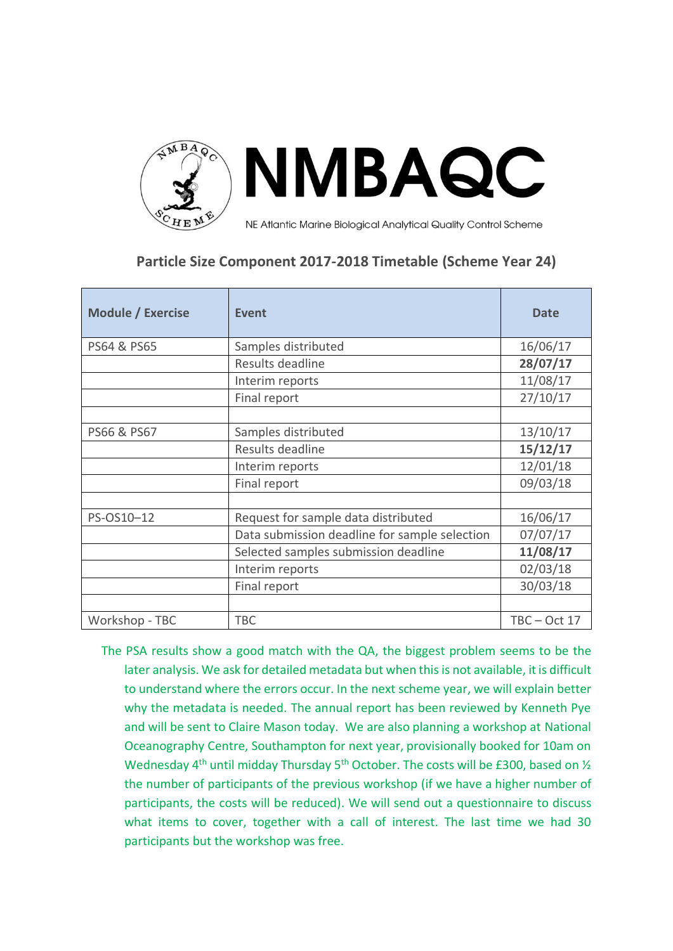

# **Particle Size Component 2017-2018 Timetable (Scheme Year 24)**

| <b>Module / Exercise</b> | <b>Event</b>                                  | <b>Date</b>    |
|--------------------------|-----------------------------------------------|----------------|
| PS64 & PS65              | Samples distributed                           | 16/06/17       |
|                          | Results deadline                              | 28/07/17       |
|                          | Interim reports                               | 11/08/17       |
|                          | Final report                                  | 27/10/17       |
|                          |                                               |                |
| PS66 & PS67              | Samples distributed                           | 13/10/17       |
|                          | Results deadline                              | 15/12/17       |
|                          | Interim reports                               | 12/01/18       |
|                          | Final report                                  | 09/03/18       |
|                          |                                               |                |
| PS-OS10-12               | Request for sample data distributed           | 16/06/17       |
|                          | Data submission deadline for sample selection | 07/07/17       |
|                          | Selected samples submission deadline          | 11/08/17       |
|                          | Interim reports                               | 02/03/18       |
|                          | Final report                                  | 30/03/18       |
|                          |                                               |                |
| Workshop - TBC           | <b>TBC</b>                                    | $TBC - Oct 17$ |

The PSA results show a good match with the QA, the biggest problem seems to be the later analysis. We ask for detailed metadata but when this is not available, it is difficult to understand where the errors occur. In the next scheme year, we will explain better why the metadata is needed. The annual report has been reviewed by Kenneth Pye and will be sent to Claire Mason today. We are also planning a workshop at National Oceanography Centre, Southampton for next year, provisionally booked for 10am on Wednesday 4<sup>th</sup> until midday Thursday 5<sup>th</sup> October. The costs will be £300, based on  $\frac{1}{2}$ the number of participants of the previous workshop (if we have a higher number of participants, the costs will be reduced). We will send out a questionnaire to discuss what items to cover, together with a call of interest. The last time we had 30 participants but the workshop was free.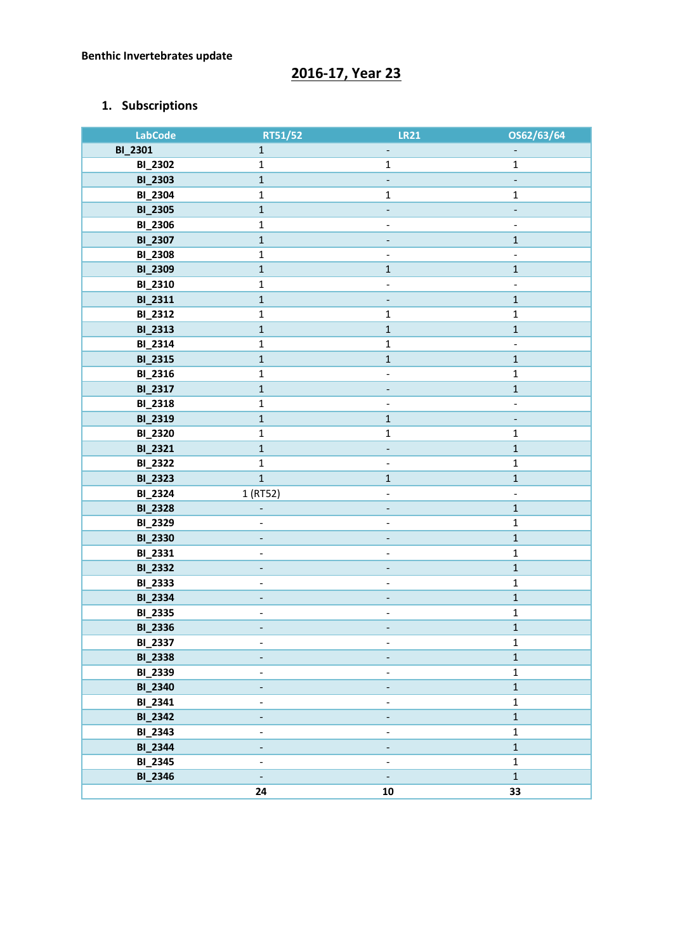# **2016-17, Year 23**

## **1. Subscriptions**

| <b>LabCode</b> | RT51/52                      | <b>LR21</b>                  | OS62/63/64                   |
|----------------|------------------------------|------------------------------|------------------------------|
| <b>BI_2301</b> | $\mathbf 1$                  | Ξ.                           | $\overline{\phantom{a}}$     |
| <b>BI_2302</b> | $\mathbf{1}$                 | $\mathbf 1$                  | $\mathbf{1}$                 |
| <b>BI_2303</b> | $\mathbf 1$                  | $\Box$                       | $\blacksquare$               |
| <b>BI_2304</b> | $\mathbf 1$                  | $\mathbf 1$                  | $\mathbf 1$                  |
| <b>BI_2305</b> | $\mathbf 1$                  |                              | ÷                            |
| <b>BI_2306</b> | $\mathbf{1}$                 | $\overline{\phantom{a}}$     | $\blacksquare$               |
| <b>BI_2307</b> | $\mathbf 1$                  |                              | $\mathbf 1$                  |
| <b>BI_2308</b> | $\mathbf 1$                  | $\qquad \qquad -$            | $\qquad \qquad -$            |
| <b>BI_2309</b> | $\mathbf 1$                  | $\mathbf 1$                  | $\mathbf 1$                  |
| <b>BI_2310</b> | $\mathbf 1$                  | $\frac{1}{2}$                | $\blacksquare$               |
| BI_2311        | $\mathbf 1$                  | $\qquad \qquad \blacksquare$ | $\mathbf 1$                  |
| BI_2312        | $\mathbf 1$                  | $\mathbf 1$                  | $\mathbf 1$                  |
| <b>BI_2313</b> | $\mathbf 1$                  | $\mathbf 1$                  | $\mathbf 1$                  |
| BI_2314        | $\mathbf 1$                  | $\mathbf 1$                  | $\overline{\phantom{a}}$     |
| <b>BI_2315</b> | $\mathbf 1$                  | $\mathbf 1$                  | $\mathbf 1$                  |
| BI_2316        | $\mathbf 1$                  | $\overline{\phantom{a}}$     | $\mathbf 1$                  |
| BI_2317        | $\mathbf 1$                  |                              | $\mathbf 1$                  |
| <b>BI_2318</b> | $\mathbf 1$                  |                              | $\overline{\phantom{a}}$     |
| <b>BI_2319</b> | $\mathbf 1$                  | $\mathbf 1$                  | $\blacksquare$               |
| <b>BI_2320</b> | $\mathbf 1$                  | $\mathbf 1$                  | $\mathbf 1$                  |
| BI_2321        | $\mathbf 1$                  |                              | $\mathbf 1$                  |
| <b>BI_2322</b> | $\mathbf 1$                  | $\overline{\phantom{a}}$     | $\mathbf 1$                  |
| <b>BI_2323</b> | $\mathbf 1$                  | $\mathbf 1$                  | $\mathbf 1$                  |
| <b>BI_2324</b> | 1 (RT52)                     | $\qquad \qquad \blacksquare$ | $\qquad \qquad \blacksquare$ |
| <b>BI_2328</b> |                              | $\overline{\phantom{a}}$     | $\mathbf 1$                  |
| <b>BI_2329</b> | $\overline{\phantom{a}}$     | $\qquad \qquad \blacksquare$ | $\mathbf 1$                  |
| <b>BI_2330</b> | $\overline{\phantom{0}}$     |                              | $\mathbf 1$                  |
| BI_2331        | $\qquad \qquad \blacksquare$ | $\overline{\phantom{0}}$     | $\mathbf 1$                  |
| <b>BI_2332</b> |                              |                              | $\mathbf 1$                  |
| <b>BI_2333</b> | $\overline{\phantom{0}}$     |                              | $\mathbf 1$                  |
| <b>BI_2334</b> |                              |                              | $\mathbf 1$                  |
| <b>BI_2335</b> | $\qquad \qquad \blacksquare$ |                              | $\mathbf 1$                  |
| <b>BI_2336</b> | $\overline{\phantom{a}}$     |                              | $\mathbf 1$                  |
| BI_2337        | $\overline{\phantom{a}}$     | $\qquad \qquad \blacksquare$ | $\mathbf 1$                  |
| <b>BI_2338</b> |                              |                              | $\mathbf 1$                  |
| <b>BI_2339</b> | $\overline{\phantom{a}}$     | $\blacksquare$               | $\mathbf 1$                  |
| <b>BI_2340</b> |                              |                              | $\mathbf 1$                  |
| BI_2341        | $\overline{\phantom{a}}$     | $\overline{\phantom{0}}$     | $\mathbf 1$                  |
| <b>BI_2342</b> | $\overline{\phantom{a}}$     |                              | $\mathbf 1$                  |
| <b>BI_2343</b> | $\overline{\phantom{a}}$     | $\overline{\phantom{0}}$     | $\mathbf 1$                  |
| <b>BI_2344</b> | $\overline{\phantom{a}}$     | $\overline{\phantom{a}}$     | $\mathbf 1$                  |
| <b>BI_2345</b> | $\overline{a}$               | $\overline{a}$               | $\mathbf 1$                  |
| <b>BI_2346</b> | $\Box$                       | $\overline{\phantom{a}}$     | $\overline{1}$               |
|                | 24                           | 10                           | 33                           |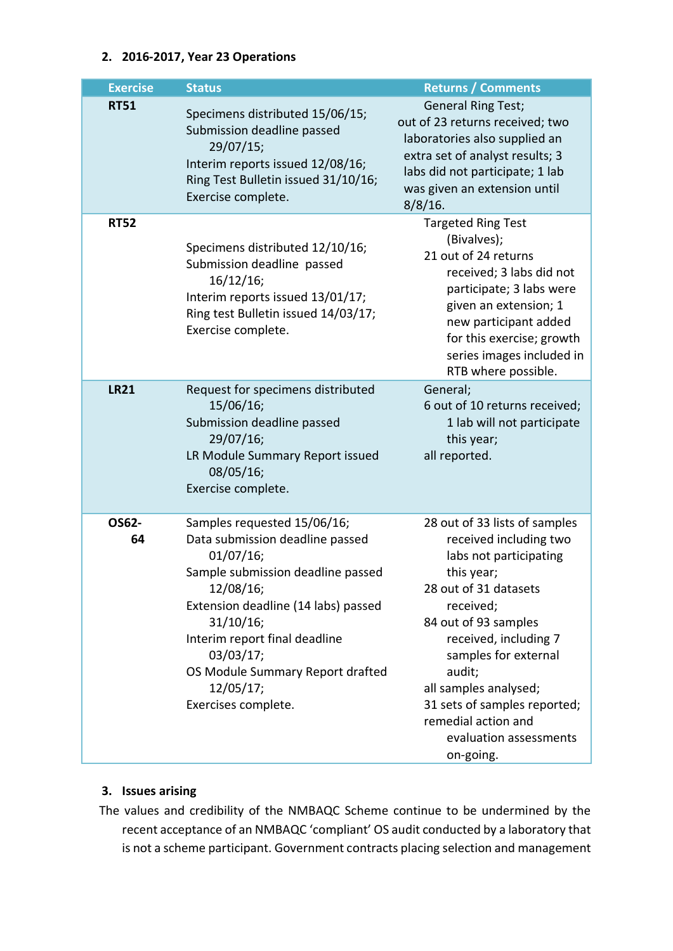## **2. 2016-2017, Year 23 Operations**

| <b>Exercise</b> | <b>Status</b>                                                                                                                                                                                                                                                                                           | <b>Returns / Comments</b>                                                                                                                                                                                                                                                                                                                       |
|-----------------|---------------------------------------------------------------------------------------------------------------------------------------------------------------------------------------------------------------------------------------------------------------------------------------------------------|-------------------------------------------------------------------------------------------------------------------------------------------------------------------------------------------------------------------------------------------------------------------------------------------------------------------------------------------------|
| <b>RT51</b>     | Specimens distributed 15/06/15;<br>Submission deadline passed<br>29/07/15;<br>Interim reports issued 12/08/16;<br>Ring Test Bulletin issued 31/10/16;<br>Exercise complete.                                                                                                                             | <b>General Ring Test;</b><br>out of 23 returns received; two<br>laboratories also supplied an<br>extra set of analyst results; 3<br>labs did not participate; 1 lab<br>was given an extension until<br>$8/8/16$ .                                                                                                                               |
| <b>RT52</b>     | Specimens distributed 12/10/16;<br>Submission deadline passed<br>16/12/16;<br>Interim reports issued 13/01/17;<br>Ring test Bulletin issued 14/03/17;<br>Exercise complete.                                                                                                                             | <b>Targeted Ring Test</b><br>(Bivalves);<br>21 out of 24 returns<br>received; 3 labs did not<br>participate; 3 labs were<br>given an extension; 1<br>new participant added<br>for this exercise; growth<br>series images included in<br>RTB where possible.                                                                                     |
| <b>LR21</b>     | Request for specimens distributed<br>15/06/16;<br>Submission deadline passed<br>29/07/16;<br>LR Module Summary Report issued<br>08/05/16;<br>Exercise complete.                                                                                                                                         | General;<br>6 out of 10 returns received;<br>1 lab will not participate<br>this year;<br>all reported.                                                                                                                                                                                                                                          |
| OS62-<br>64     | Samples requested 15/06/16;<br>Data submission deadline passed<br>01/07/16;<br>Sample submission deadline passed<br>12/08/16;<br>Extension deadline (14 labs) passed<br>31/10/16;<br>Interim report final deadline<br>03/03/17;<br>OS Module Summary Report drafted<br>12/05/17;<br>Exercises complete. | 28 out of 33 lists of samples<br>received including two<br>labs not participating<br>this year;<br>28 out of 31 datasets<br>received;<br>84 out of 93 samples<br>received, including 7<br>samples for external<br>audit;<br>all samples analysed;<br>31 sets of samples reported;<br>remedial action and<br>evaluation assessments<br>on-going. |

## **3. Issues arising**

The values and credibility of the NMBAQC Scheme continue to be undermined by the recent acceptance of an NMBAQC 'compliant' OS audit conducted by a laboratory that is not a scheme participant. Government contracts placing selection and management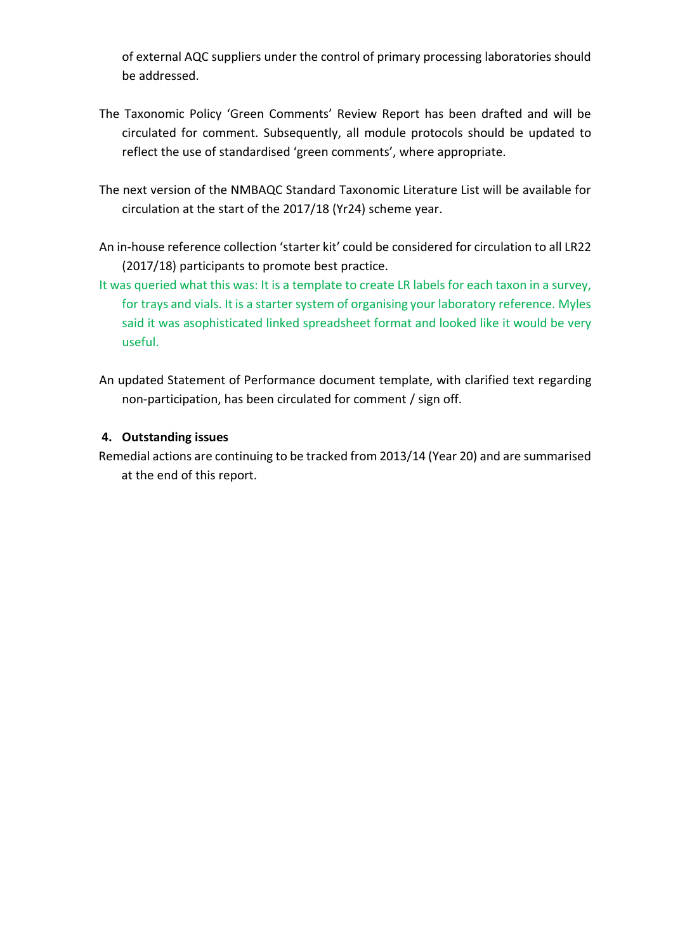of external AQC suppliers under the control of primary processing laboratories should be addressed.

- The Taxonomic Policy 'Green Comments' Review Report has been drafted and will be circulated for comment. Subsequently, all module protocols should be updated to reflect the use of standardised 'green comments', where appropriate.
- The next version of the NMBAQC Standard Taxonomic Literature List will be available for circulation at the start of the 2017/18 (Yr24) scheme year.
- An in-house reference collection 'starter kit' could be considered for circulation to all LR22 (2017/18) participants to promote best practice.
- It was queried what this was: It is a template to create LR labels for each taxon in a survey, for trays and vials. It is a starter system of organising your laboratory reference. Myles said it was asophisticated linked spreadsheet format and looked like it would be very useful.
- An updated Statement of Performance document template, with clarified text regarding non-participation, has been circulated for comment / sign off.

## **4. Outstanding issues**

Remedial actions are continuing to be tracked from 2013/14 (Year 20) and are summarised at the end of this report.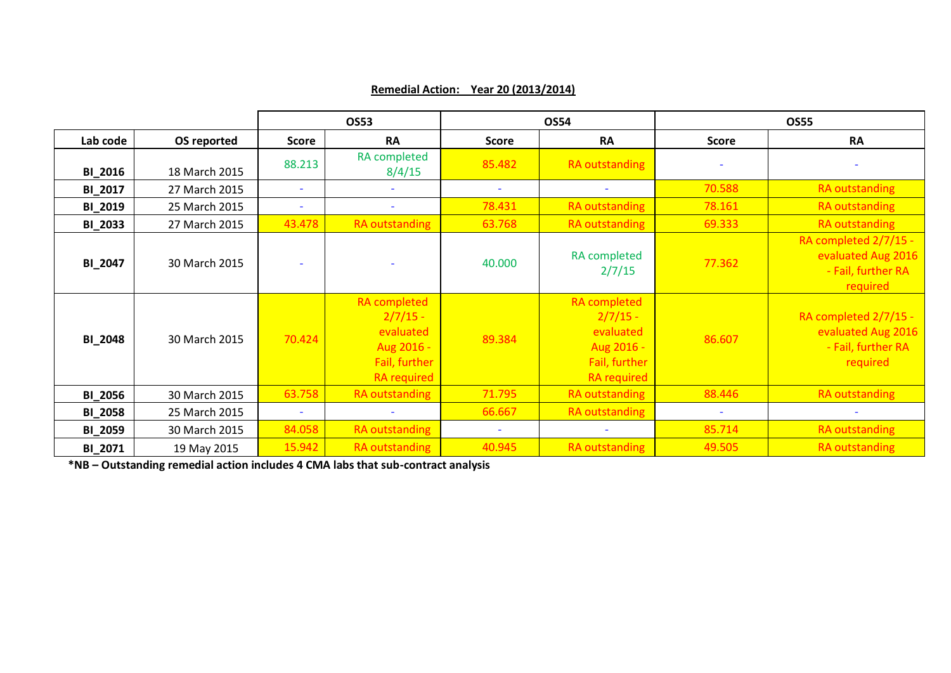|                |               |                          | <b>OS53</b>                                                                                         |                          | <b>OS54</b>                                                                                         |              | <b>OS55</b>                                                                   |
|----------------|---------------|--------------------------|-----------------------------------------------------------------------------------------------------|--------------------------|-----------------------------------------------------------------------------------------------------|--------------|-------------------------------------------------------------------------------|
| Lab code       | OS reported   | <b>Score</b>             | <b>RA</b>                                                                                           | <b>Score</b>             | <b>RA</b>                                                                                           | <b>Score</b> | <b>RA</b>                                                                     |
| <b>BI_2016</b> | 18 March 2015 | 88.213                   | <b>RA</b> completed<br>8/4/15                                                                       | 85.482                   | <b>RA outstanding</b>                                                                               |              |                                                                               |
| <b>BI_2017</b> | 27 March 2015 |                          |                                                                                                     | $\overline{\phantom{a}}$ |                                                                                                     | 70.588       | RA outstanding                                                                |
| <b>BI_2019</b> | 25 March 2015 | $\overline{\phantom{a}}$ |                                                                                                     | 78.431                   | <b>RA outstanding</b>                                                                               | 78.161       | <b>RA</b> outstanding                                                         |
| <b>BI_2033</b> | 27 March 2015 | 43.478                   | <b>RA outstanding</b>                                                                               | 63.768                   | <b>RA outstanding</b>                                                                               | 69.333       | <b>RA</b> outstanding                                                         |
| <b>BI_2047</b> | 30 March 2015 |                          |                                                                                                     | 40.000                   | <b>RA</b> completed<br>2/7/15                                                                       | 77.362       | RA completed 2/7/15 -<br>evaluated Aug 2016<br>- Fail, further RA<br>required |
| <b>BI_2048</b> | 30 March 2015 | 70.424                   | <b>RA</b> completed<br>$2/7/15 -$<br>evaluated<br>Aug 2016 -<br>Fail, further<br><b>RA</b> required | 89.384                   | <b>RA</b> completed<br>$2/7/15 -$<br>evaluated<br>Aug 2016 -<br>Fail, further<br><b>RA</b> required | 86.607       | RA completed 2/7/15 -<br>evaluated Aug 2016<br>- Fail, further RA<br>required |
| <b>BI_2056</b> | 30 March 2015 | 63.758                   | RA outstanding                                                                                      | 71.795                   | <b>RA</b> outstanding                                                                               | 88.446       | <b>RA outstanding</b>                                                         |
| <b>BI_2058</b> | 25 March 2015 |                          |                                                                                                     | 66.667                   | RA outstanding                                                                                      |              |                                                                               |
| <b>BI_2059</b> | 30 March 2015 | 84.058                   | RA outstanding                                                                                      |                          |                                                                                                     | 85.714       | <b>RA</b> outstanding                                                         |
| BI_2071        | 19 May 2015   | 15.942                   | <b>RA</b> outstanding                                                                               | 40.945                   | <b>RA</b> outstanding                                                                               | 49.505       | <b>RA</b> outstanding                                                         |

## **Remedial Action: Year 20 (2013/2014)**

**\*NB – Outstanding remedial action includes 4 CMA labs that sub-contract analysis**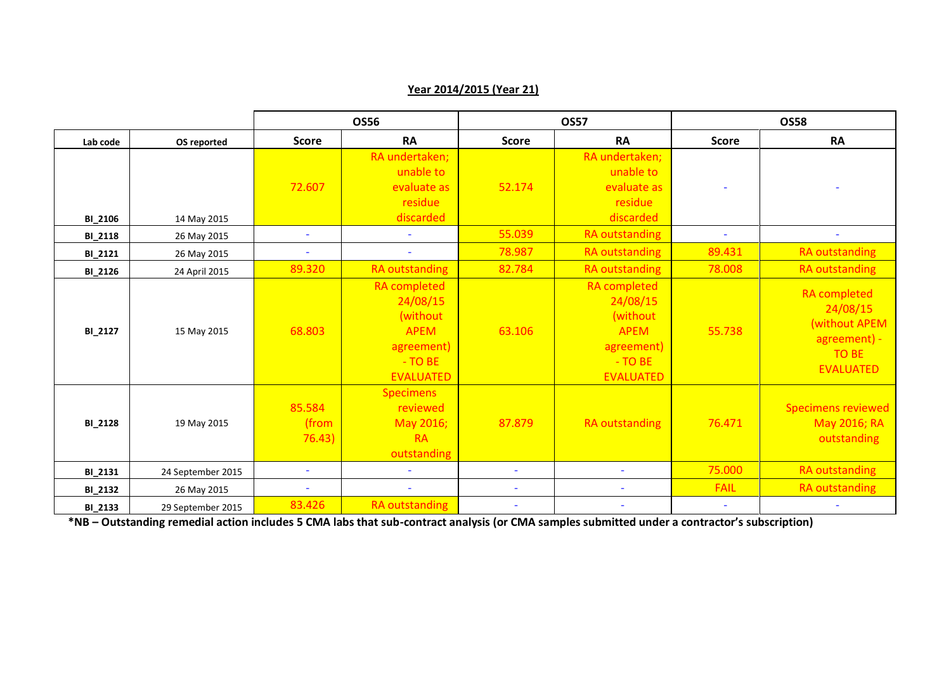#### **OS56 OS57 OS58 Lab code OS reported Score RA Score RA Score RA BI\_2106** 14 May 2015 72.607 RA undertaken; unable to evaluate as residue discarded 52.174 RA undertaken; unable to evaluate as residue discarded - - **BI\_2118** 26 May 2015 - - 55.039 RA outstanding - - **BI\_2121 |** 26 May 2015 | - | - | - 78.987 | RA outstanding | 89.431 | RA outstanding **BI\_2126** 24 April 2015 **89.320** RA outstanding 82.784 RA outstanding 78.008 RA outstanding **BI\_2127** 15 May 2015 68.803 RA completed 24/08/15 (without APEM agreement) - TO BE EVALUATED 63.106 RA completed 24/08/15 (without APEM agreement) - TO BE EVALUATED 55.738 RA completed 24/08/15 (without APEM agreement) - TO BE EVALUATED **BI** 2128 19 May 2015 85.584 (from 76.43) **Specimens** reviewed May 2016; RA outstanding 87.879 RA outstanding 76.471 Specimens reviewed May 2016; RA outstanding **BI\_2131** 24 September 2015 | The Product of Allen Contract of Allen Contract of Alexanding Contract of Alexanding **BI\_2132** 26 May 2015 - - - - FAIL RA outstanding **BI\_2133 |** 29 September 2015 | 83.426 RA outstanding | - - - | - - - | - - | - - | - - | - - | - - - | - - - -

**Year 2014/2015 (Year 21)**

**\*NB – Outstanding remedial action includes 5 CMA labs that sub-contract analysis (or CMA samples submitted under a contractor's subscription)**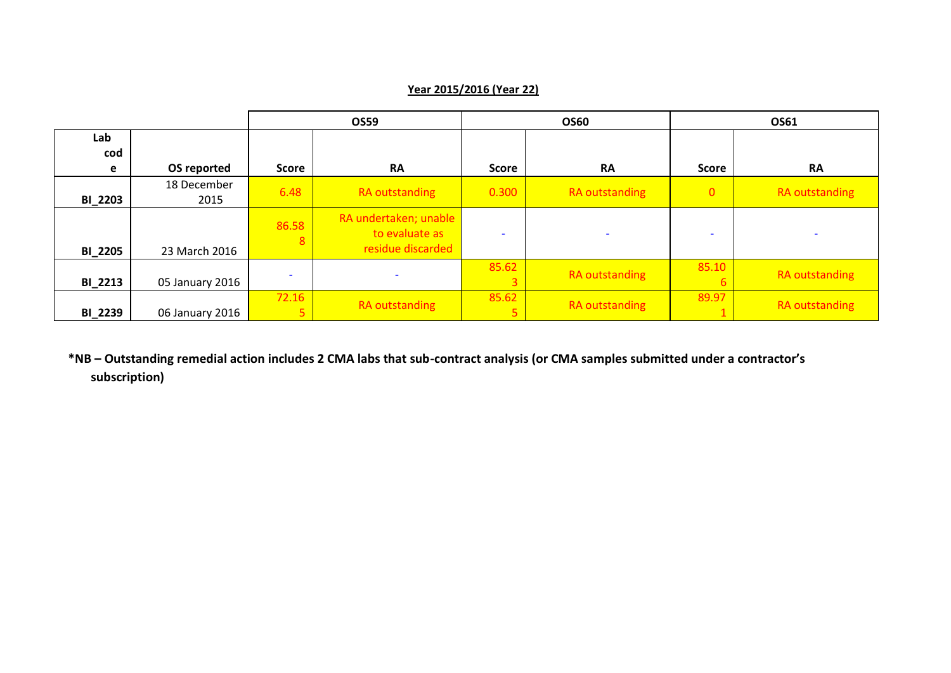|                |                     |                          | <b>OS59</b><br><b>OS60</b>                                   |              | OS61                     |                          |                       |
|----------------|---------------------|--------------------------|--------------------------------------------------------------|--------------|--------------------------|--------------------------|-----------------------|
| Lab            |                     |                          |                                                              |              |                          |                          |                       |
| cod            |                     |                          |                                                              |              |                          |                          |                       |
| e              | OS reported         | <b>Score</b>             | <b>RA</b>                                                    | <b>Score</b> | <b>RA</b>                | Score                    | <b>RA</b>             |
| <b>BI_2203</b> | 18 December<br>2015 | 6.48                     | <b>RA</b> outstanding                                        | 0.300        | RA outstanding           | $\overline{0}$           | RA outstanding        |
| <b>BI_2205</b> | 23 March 2016       | 86.58<br>8               | RA undertaken; unable<br>to evaluate as<br>residue discarded |              | $\overline{\phantom{a}}$ | $\overline{\phantom{a}}$ |                       |
| <b>BI_2213</b> | 05 January 2016     | $\overline{\phantom{a}}$ |                                                              | 85.62        | RA outstanding           | 85.10                    | RA outstanding        |
| <b>BI_2239</b> | 06 January 2016     | 72.16<br>5 <sub>h</sub>  | <b>RA</b> outstanding                                        | 85.62        | RA outstanding           | 89.97                    | <b>RA</b> outstanding |

## **Year 2015/2016 (Year 22)**

**\*NB – Outstanding remedial action includes 2 CMA labs that sub-contract analysis (or CMA samples submitted under a contractor's subscription)**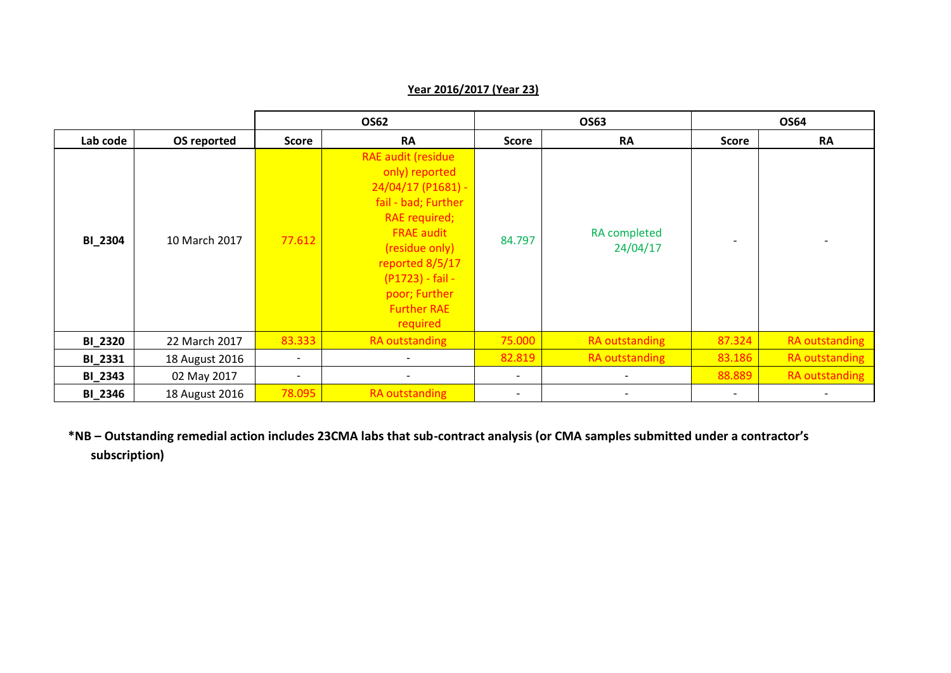## **OS62 OS63 OS64 Lab code OS reported Score RA Score RA Score RA BI\_2304** 10 March 2017 77.612 RAE audit (residue only) reported 24/04/17 (P1681) fail - bad; Further RAE required; FRAE audit (residue only) reported 8/5/17 (P1723) - fail poor; Further Further RAE required 84.797 RA completed  $24/04/17$ **BI\_2320** 22 March 2017 <mark>83.333 RA outstanding 75.000 RA outstanding 87.324 RA outstanding</mark> **BI\_2331** 18 August 2016 | Christian Christian August 2016 | Christian Christian Christian Christian Christian Ch **BI\_2343** | 02 May 2017 | | | | <mark>| 88.889 |</mark> RA outstanding **BI\_2346** 18 August 2016 **78.095** RA outstanding **RADUST And All Property Control** 2016 - 1

**Year 2016/2017 (Year 23)**

**\*NB – Outstanding remedial action includes 23CMA labs that sub-contract analysis (or CMA samples submitted under a contractor's subscription)**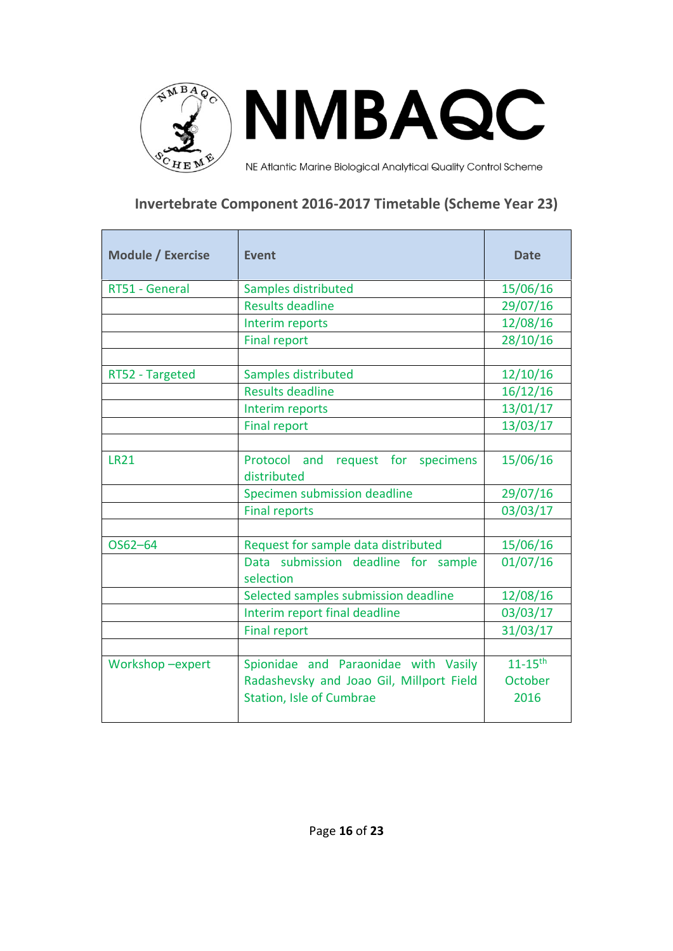

# **Invertebrate Component 2016-2017 Timetable (Scheme Year 23)**

| <b>Module / Exercise</b> | <b>Event</b>                                      | <b>Date</b>             |
|--------------------------|---------------------------------------------------|-------------------------|
| RT51 - General           | Samples distributed                               | 15/06/16                |
|                          | <b>Results deadline</b>                           | 29/07/16                |
|                          | Interim reports                                   | 12/08/16                |
|                          | <b>Final report</b>                               | 28/10/16                |
|                          |                                                   |                         |
| RT52 - Targeted          | Samples distributed                               | 12/10/16                |
|                          | <b>Results deadline</b>                           | 16/12/16                |
|                          | Interim reports                                   | 13/01/17                |
|                          | <b>Final report</b>                               | 13/03/17                |
|                          |                                                   |                         |
| <b>LR21</b>              | Protocol and request for specimens<br>distributed | 15/06/16                |
|                          | Specimen submission deadline                      | 29/07/16                |
|                          | <b>Final reports</b>                              | 03/03/17                |
|                          |                                                   |                         |
| OS62-64                  | Request for sample data distributed               | 15/06/16                |
|                          | Data submission deadline for sample<br>selection  | 01/07/16                |
|                          | Selected samples submission deadline              | 12/08/16                |
|                          | Interim report final deadline                     | 03/03/17                |
|                          | <b>Final report</b>                               | 31/03/17                |
|                          |                                                   |                         |
| Workshop-expert          | Spionidae and Paraonidae with Vasily              | $11 - 15$ <sup>th</sup> |
|                          | Radashevsky and Joao Gil, Millport Field          | October                 |
|                          | <b>Station, Isle of Cumbrae</b>                   | 2016                    |
|                          |                                                   |                         |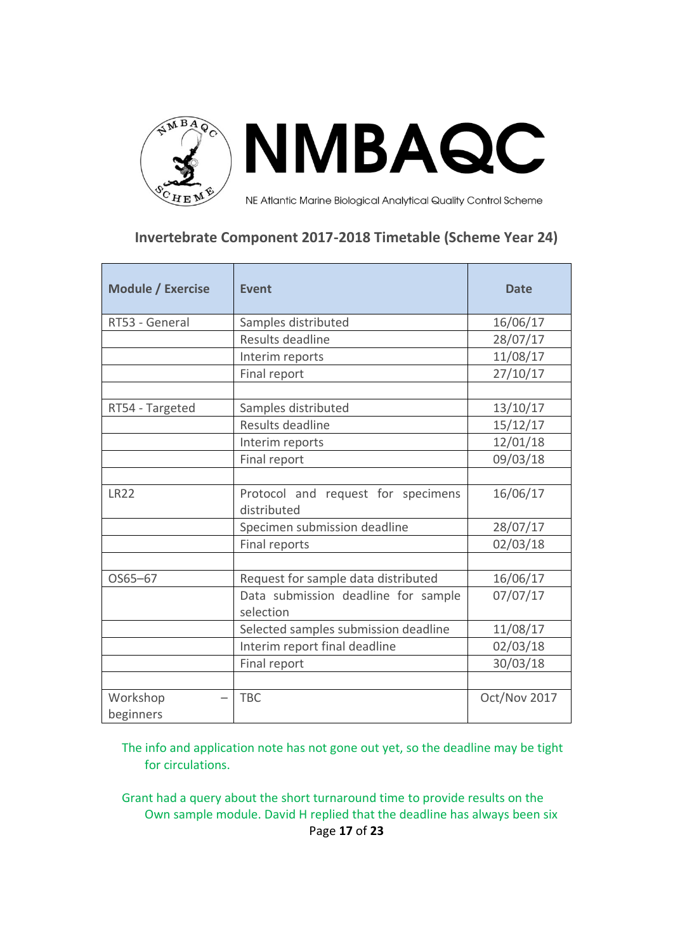

# **Invertebrate Component 2017-2018 Timetable (Scheme Year 24)**

| <b>Module / Exercise</b> | <b>Event</b>                                      | <b>Date</b>  |
|--------------------------|---------------------------------------------------|--------------|
| RT53 - General           | Samples distributed                               | 16/06/17     |
|                          | Results deadline                                  | 28/07/17     |
|                          | Interim reports                                   | 11/08/17     |
|                          | Final report                                      | 27/10/17     |
|                          |                                                   |              |
| RT54 - Targeted          | Samples distributed                               | 13/10/17     |
|                          | Results deadline                                  | 15/12/17     |
|                          | Interim reports                                   | 12/01/18     |
|                          | Final report                                      | 09/03/18     |
|                          |                                                   |              |
| <b>LR22</b>              | Protocol and request for specimens<br>distributed | 16/06/17     |
|                          | Specimen submission deadline                      | 28/07/17     |
|                          | Final reports                                     | 02/03/18     |
|                          |                                                   |              |
| OS65-67                  | Request for sample data distributed               | 16/06/17     |
|                          | Data submission deadline for sample<br>selection  | 07/07/17     |
|                          | Selected samples submission deadline              | 11/08/17     |
|                          | Interim report final deadline                     | 02/03/18     |
|                          | Final report                                      | 30/03/18     |
|                          |                                                   |              |
| Workshop                 | <b>TBC</b>                                        | Oct/Nov 2017 |
| beginners                |                                                   |              |

The info and application note has not gone out yet, so the deadline may be tight for circulations.

Page **17** of **23** Grant had a query about the short turnaround time to provide results on the Own sample module. David H replied that the deadline has always been six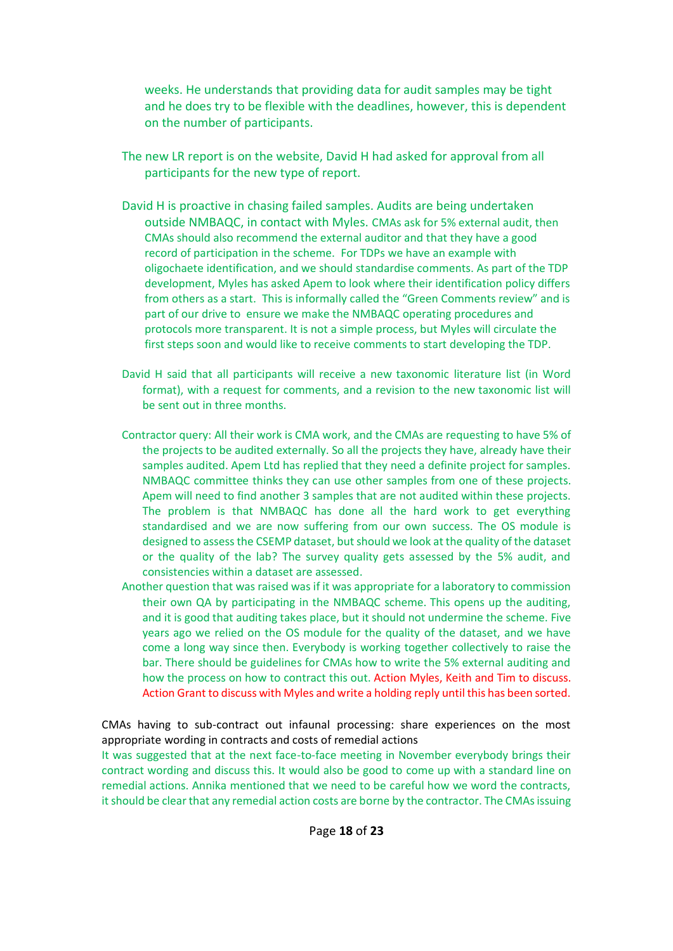weeks. He understands that providing data for audit samples may be tight and he does try to be flexible with the deadlines, however, this is dependent on the number of participants.

- The new LR report is on the website, David H had asked for approval from all participants for the new type of report.
- David H is proactive in chasing failed samples. Audits are being undertaken outside NMBAQC, in contact with Myles. CMAs ask for 5% external audit, then CMAs should also recommend the external auditor and that they have a good record of participation in the scheme. For TDPs we have an example with oligochaete identification, and we should standardise comments. As part of the TDP development, Myles has asked Apem to look where their identification policy differs from others as a start. This is informally called the "Green Comments review" and is part of our drive to ensure we make the NMBAQC operating procedures and protocols more transparent. It is not a simple process, but Myles will circulate the first steps soon and would like to receive comments to start developing the TDP.
- David H said that all participants will receive a new taxonomic literature list (in Word format), with a request for comments, and a revision to the new taxonomic list will be sent out in three months.
- Contractor query: All their work is CMA work, and the CMAs are requesting to have 5% of the projects to be audited externally. So all the projects they have, already have their samples audited. Apem Ltd has replied that they need a definite project for samples. NMBAQC committee thinks they can use other samples from one of these projects. Apem will need to find another 3 samples that are not audited within these projects. The problem is that NMBAQC has done all the hard work to get everything standardised and we are now suffering from our own success. The OS module is designed to assess the CSEMP dataset, but should we look at the quality of the dataset or the quality of the lab? The survey quality gets assessed by the 5% audit, and consistencies within a dataset are assessed.
- Another question that was raised was if it was appropriate for a laboratory to commission their own QA by participating in the NMBAQC scheme. This opens up the auditing, and it is good that auditing takes place, but it should not undermine the scheme. Five years ago we relied on the OS module for the quality of the dataset, and we have come a long way since then. Everybody is working together collectively to raise the bar. There should be guidelines for CMAs how to write the 5% external auditing and how the process on how to contract this out. Action Myles, Keith and Tim to discuss. Action Grant to discuss with Myles and write a holding reply until this has been sorted.

CMAs having to sub-contract out infaunal processing: share experiences on the most appropriate wording in contracts and costs of remedial actions

It was suggested that at the next face-to-face meeting in November everybody brings their contract wording and discuss this. It would also be good to come up with a standard line on remedial actions. Annika mentioned that we need to be careful how we word the contracts, it should be clear that any remedial action costs are borne by the contractor. The CMAs issuing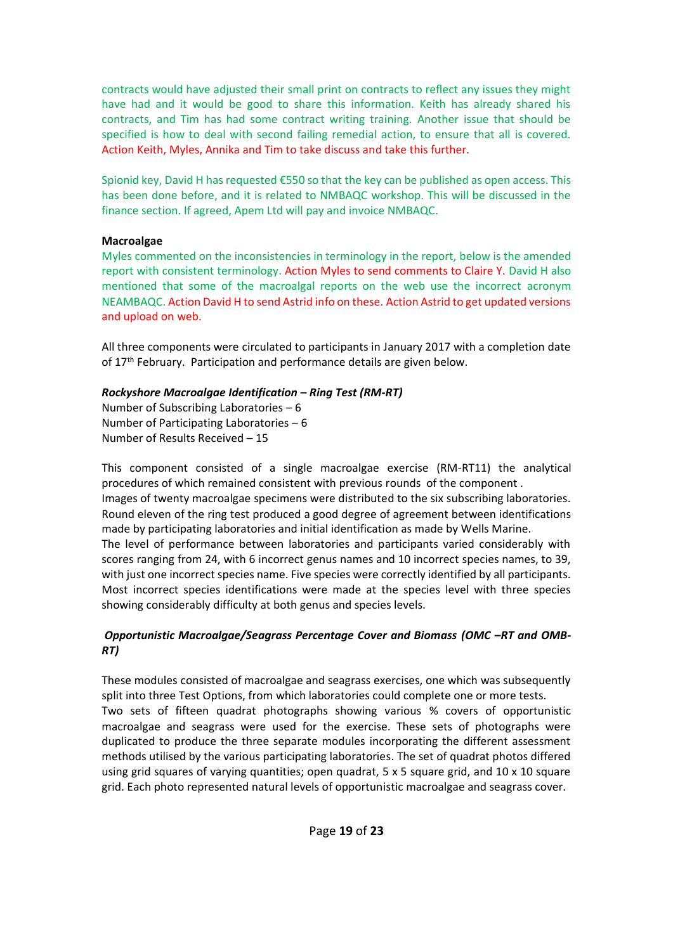contracts would have adjusted their small print on contracts to reflect any issues they might have had and it would be good to share this information. Keith has already shared his contracts, and Tim has had some contract writing training. Another issue that should be specified is how to deal with second failing remedial action, to ensure that all is covered. Action Keith, Myles, Annika and Tim to take discuss and take this further.

Spionid key, David H has requested €550 so that the key can be published as open access. This has been done before, and it is related to NMBAQC workshop. This will be discussed in the finance section. If agreed, Apem Ltd will pay and invoice NMBAQC.

## **Macroalgae**

Myles commented on the inconsistencies in terminology in the report, below is the amended report with consistent terminology. Action Myles to send comments to Claire Y. David H also mentioned that some of the macroalgal reports on the web use the incorrect acronym NEAMBAQC. Action David H to send Astrid info on these. Action Astrid to get updated versions and upload on web.

All three components were circulated to participants in January 2017 with a completion date of 17<sup>th</sup> February. Participation and performance details are given below.

## *Rockyshore Macroalgae Identification – Ring Test (RM-RT)*

Number of Subscribing Laboratories – 6 Number of Participating Laboratories – 6 Number of Results Received – 15

This component consisted of a single macroalgae exercise (RM-RT11) the analytical procedures of which remained consistent with previous rounds of the component . Images of twenty macroalgae specimens were distributed to the six subscribing laboratories. Round eleven of the ring test produced a good degree of agreement between identifications made by participating laboratories and initial identification as made by Wells Marine. The level of performance between laboratories and participants varied considerably with scores ranging from 24, with 6 incorrect genus names and 10 incorrect species names, to 39,

with just one incorrect species name. Five species were correctly identified by all participants. Most incorrect species identifications were made at the species level with three species showing considerably difficulty at both genus and species levels.

## **Opportunistic Macroalgae/Seagrass Percentage Cover and Biomass (OMC -RT and OMB-***RT)*

These modules consisted of macroalgae and seagrass exercises, one which was subsequently split into three Test Options, from which laboratories could complete one or more tests. Two sets of fifteen quadrat photographs showing various % covers of opportunistic macroalgae and seagrass were used for the exercise. These sets of photographs were duplicated to produce the three separate modules incorporating the different assessment methods utilised by the various participating laboratories. The set of quadrat photos differed using grid squares of varying quantities; open quadrat, 5 x 5 square grid, and 10 x 10 square grid. Each photo represented natural levels of opportunistic macroalgae and seagrass cover.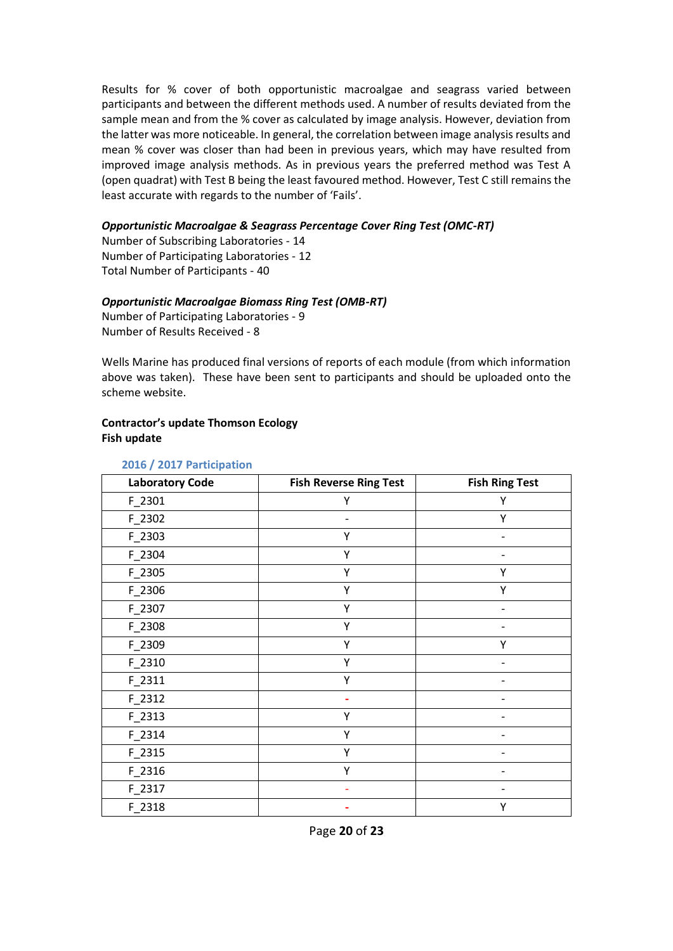Results for % cover of both opportunistic macroalgae and seagrass varied between participants and between the different methods used. A number of results deviated from the sample mean and from the % cover as calculated by image analysis. However, deviation from the latter was more noticeable. In general, the correlation between image analysis results and mean % cover was closer than had been in previous years, which may have resulted from improved image analysis methods. As in previous years the preferred method was Test A (open quadrat) with Test B being the least favoured method. However, Test C still remains the least accurate with regards to the number of 'Fails'.

## *Opportunistic Macroalgae & Seagrass Percentage Cover Ring Test (OMC-RT)*

Number of Subscribing Laboratories - 14 Number of Participating Laboratories - 12 Total Number of Participants - 40

## *Opportunistic Macroalgae Biomass Ring Test (OMB-RT)*

Number of Participating Laboratories - 9 Number of Results Received - 8

Wells Marine has produced final versions of reports of each module (from which information above was taken). These have been sent to participants and should be uploaded onto the scheme website.

## **Contractor's update Thomson Ecology Fish update**

| <b>Laboratory Code</b> | <b>Fish Reverse Ring Test</b> | <b>Fish Ring Test</b> |
|------------------------|-------------------------------|-----------------------|
| F_2301                 | Υ                             | Υ                     |
| F_2302                 |                               | Υ                     |
| F_2303                 | Υ                             |                       |
| F_2304                 | Υ                             |                       |
| F_2305                 | Υ                             | Υ                     |
| $F_2306$               | Υ                             | Υ                     |
| F_2307                 | Υ                             |                       |
| F_2308                 | Υ                             |                       |
| F_2309                 | Υ                             | Υ                     |
| F_2310                 | Υ                             |                       |
| F_2311                 | Υ                             |                       |
| F_2312                 |                               |                       |
| F_2313                 | Υ                             |                       |
| F_2314                 | Υ                             |                       |
| F_2315                 | Υ                             |                       |
| F_2316                 | Υ                             |                       |
| F_2317                 |                               |                       |
| F_2318                 |                               | Υ                     |

#### **2016 / 2017 Participation**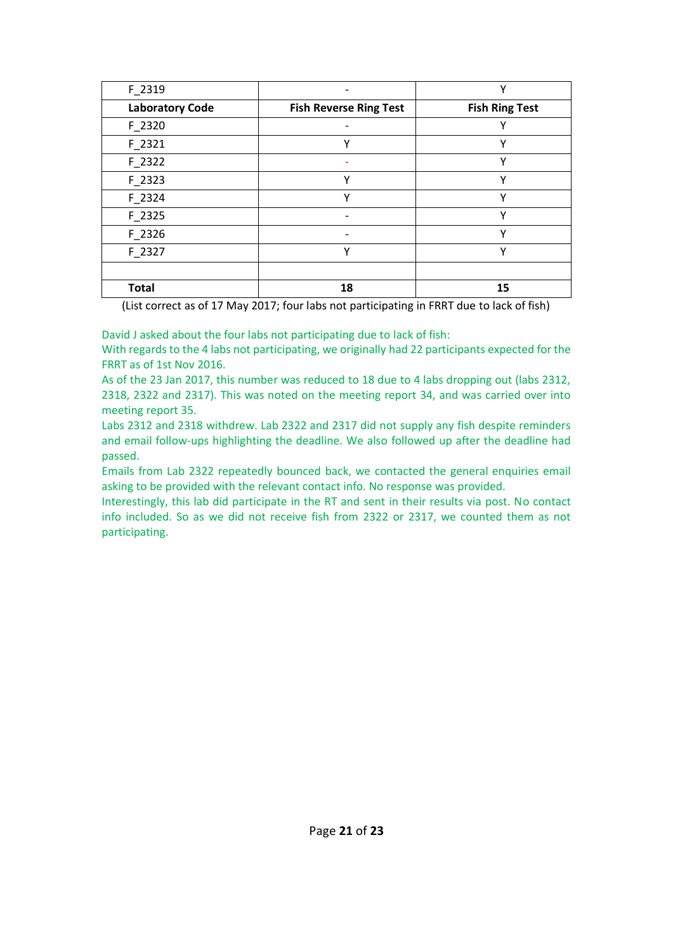| F_2319                 |                               | v                     |
|------------------------|-------------------------------|-----------------------|
| <b>Laboratory Code</b> | <b>Fish Reverse Ring Test</b> | <b>Fish Ring Test</b> |
| $F_2320$               |                               | v                     |
| $F_2321$               | v                             | Υ                     |
| $F_2322$               |                               | Υ                     |
| $F_2323$               | v                             | Υ                     |
| F 2324                 | $\checkmark$                  | Υ                     |
| $F_2325$               | $\overline{\phantom{0}}$      | Υ                     |
| F 2326                 |                               | ۷                     |
| F_2327                 | $\vee$                        | Υ                     |
|                        |                               |                       |
| <b>Total</b>           | 18                            | 15                    |

(List correct as of 17 May 2017; four labs not participating in FRRT due to lack of fish)

David J asked about the four labs not participating due to lack of fish:

With regards to the 4 labs not participating, we originally had 22 participants expected for the FRRT as of 1st Nov 2016.

As of the 23 Jan 2017, this number was reduced to 18 due to 4 labs dropping out (labs 2312, 2318, 2322 and 2317). This was noted on the meeting report 34, and was carried over into meeting report 35.

Labs 2312 and 2318 withdrew. Lab 2322 and 2317 did not supply any fish despite reminders and email follow-ups highlighting the deadline. We also followed up after the deadline had passed.

Emails from Lab 2322 repeatedly bounced back, we contacted the general enquiries email asking to be provided with the relevant contact info. No response was provided.

Interestingly, this lab did participate in the RT and sent in their results via post. No contact info included. So as we did not receive fish from 2322 or 2317, we counted them as not participating.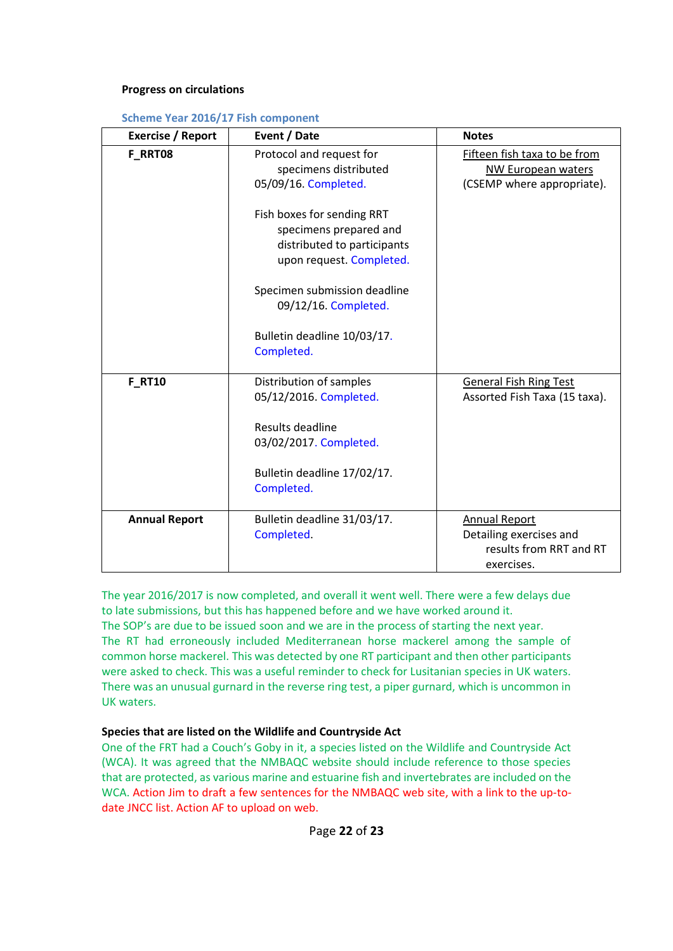#### **Progress on circulations**

|  |  | <b>Scheme Year 2016/17 Fish component</b> |
|--|--|-------------------------------------------|
|--|--|-------------------------------------------|

| <b>Exercise / Report</b> | Event / Date                                                                                                    | <b>Notes</b>                                                                             |
|--------------------------|-----------------------------------------------------------------------------------------------------------------|------------------------------------------------------------------------------------------|
| F RRT08                  | Protocol and request for<br>specimens distributed<br>05/09/16. Completed.                                       | Fifteen fish taxa to be from<br>NW European waters<br>(CSEMP where appropriate).         |
|                          | Fish boxes for sending RRT<br>specimens prepared and<br>distributed to participants<br>upon request. Completed. |                                                                                          |
|                          | Specimen submission deadline<br>09/12/16. Completed.                                                            |                                                                                          |
|                          | Bulletin deadline 10/03/17.<br>Completed.                                                                       |                                                                                          |
| <b>F_RT10</b>            | Distribution of samples<br>05/12/2016. Completed.                                                               | <b>General Fish Ring Test</b><br>Assorted Fish Taxa (15 taxa).                           |
|                          | Results deadline<br>03/02/2017. Completed.                                                                      |                                                                                          |
|                          | Bulletin deadline 17/02/17.<br>Completed.                                                                       |                                                                                          |
| <b>Annual Report</b>     | Bulletin deadline 31/03/17.<br>Completed.                                                                       | <b>Annual Report</b><br>Detailing exercises and<br>results from RRT and RT<br>exercises. |

The year 2016/2017 is now completed, and overall it went well. There were a few delays due to late submissions, but this has happened before and we have worked around it. The SOP's are due to be issued soon and we are in the process of starting the next year. The RT had erroneously included Mediterranean horse mackerel among the sample of common horse mackerel. This was detected by one RT participant and then other participants were asked to check. This was a useful reminder to check for Lusitanian species in UK waters. There was an unusual gurnard in the reverse ring test, a piper gurnard, which is uncommon in UK waters.

## **Species that are listed on the Wildlife and Countryside Act**

One of the FRT had a Couch's Goby in it, a species listed on the Wildlife and Countryside Act (WCA). It was agreed that the NMBAQC website should include reference to those species that are protected, as various marine and estuarine fish and invertebrates are included on the WCA. Action Jim to draft a few sentences for the NMBAQC web site, with a link to the up-todate JNCC list. Action AF to upload on web.